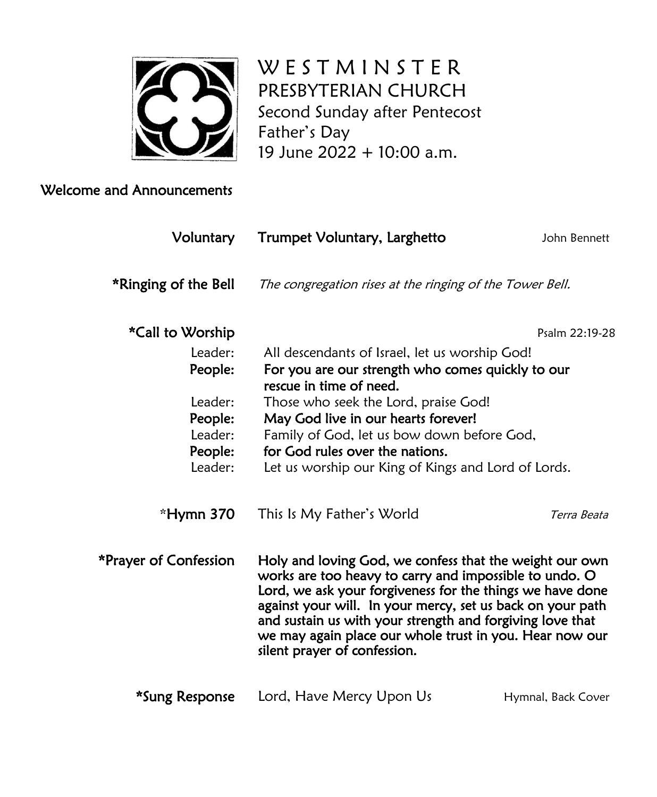

W E S T M I N S T E R PRESBYTERIAN CHURCH Second Sunday after Pentecost Father's Day 19 June 2022 + 10:00 a.m.

### Welcome and Announcements

| <b>Voluntary</b>      | Trumpet Voluntary, Larghetto                                                                                                                                                                                                                                                                                                                                                                         | John Bennett       |  |
|-----------------------|------------------------------------------------------------------------------------------------------------------------------------------------------------------------------------------------------------------------------------------------------------------------------------------------------------------------------------------------------------------------------------------------------|--------------------|--|
| *Ringing of the Bell  | The congregation rises at the ringing of the Tower Bell.                                                                                                                                                                                                                                                                                                                                             |                    |  |
| *Call to Worship      |                                                                                                                                                                                                                                                                                                                                                                                                      | Psalm 22:19-28     |  |
| Leader:               | All descendants of Israel, let us worship God!                                                                                                                                                                                                                                                                                                                                                       |                    |  |
| People:               | For you are our strength who comes quickly to our<br>rescue in time of need.                                                                                                                                                                                                                                                                                                                         |                    |  |
| Leader:               | Those who seek the Lord, praise God!                                                                                                                                                                                                                                                                                                                                                                 |                    |  |
| People:               | May God live in our hearts forever!                                                                                                                                                                                                                                                                                                                                                                  |                    |  |
| Leader:               | Family of God, let us bow down before God,                                                                                                                                                                                                                                                                                                                                                           |                    |  |
| People:               | for God rules over the nations.                                                                                                                                                                                                                                                                                                                                                                      |                    |  |
| Leader:               | Let us worship our King of Kings and Lord of Lords.                                                                                                                                                                                                                                                                                                                                                  |                    |  |
| *Hymn 370             | This Is My Father's World                                                                                                                                                                                                                                                                                                                                                                            | Terra Beata        |  |
| *Prayer of Confession | Holy and loving God, we confess that the weight our own<br>works are too heavy to carry and impossible to undo. O<br>Lord, we ask your forgiveness for the things we have done<br>against your will. In your mercy, set us back on your path<br>and sustain us with your strength and forgiving love that<br>we may again place our whole trust in you. Hear now our<br>silent prayer of confession. |                    |  |
| *Sung Response        | Lord, Have Mercy Upon Us                                                                                                                                                                                                                                                                                                                                                                             | Hymnal, Back Cover |  |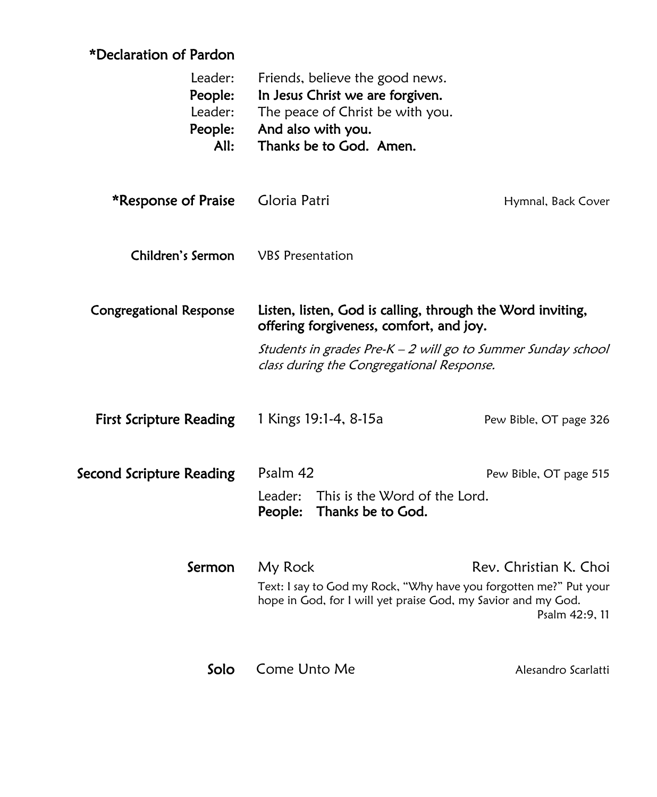# \*Declaration of Pardon

| Leader:<br>People:<br>Leader:<br>People:<br>All: | Friends, believe the good news.<br>In Jesus Christ we are forgiven.<br>The peace of Christ be with you.<br>And also with you.<br>Thanks be to God. Amen.                                                           |                        |  |
|--------------------------------------------------|--------------------------------------------------------------------------------------------------------------------------------------------------------------------------------------------------------------------|------------------------|--|
| *Response of Praise                              | Gloria Patri                                                                                                                                                                                                       | Hymnal, Back Cover     |  |
| Children's Sermon                                | <b>VBS</b> Presentation                                                                                                                                                                                            |                        |  |
| <b>Congregational Response</b>                   | Listen, listen, God is calling, through the Word inviting,<br>offering forgiveness, comfort, and joy.<br>Students in grades Pre-K - 2 will go to Summer Sunday school<br>class during the Congregational Response. |                        |  |
|                                                  |                                                                                                                                                                                                                    |                        |  |
| <b>First Scripture Reading</b>                   | 1 Kings 19:1-4, 8-15a                                                                                                                                                                                              | Pew Bible, OT page 326 |  |
| Second Scripture Reading                         | Psalm 42                                                                                                                                                                                                           | Pew Bible, OT page 515 |  |
|                                                  | Leader:<br>This is the Word of the Lord.<br>People:<br>Thanks be to God.                                                                                                                                           |                        |  |
| Sermon                                           | My Rock                                                                                                                                                                                                            | Rev. Christian K. Choi |  |
|                                                  | Text: I say to God my Rock, "Why have you forgotten me?" Put your<br>hope in God, for I will yet praise God, my Savior and my God.                                                                                 | Psalm 42:9, 11         |  |
| Solo                                             | Come Unto Me                                                                                                                                                                                                       | Alesandro Scarlatti    |  |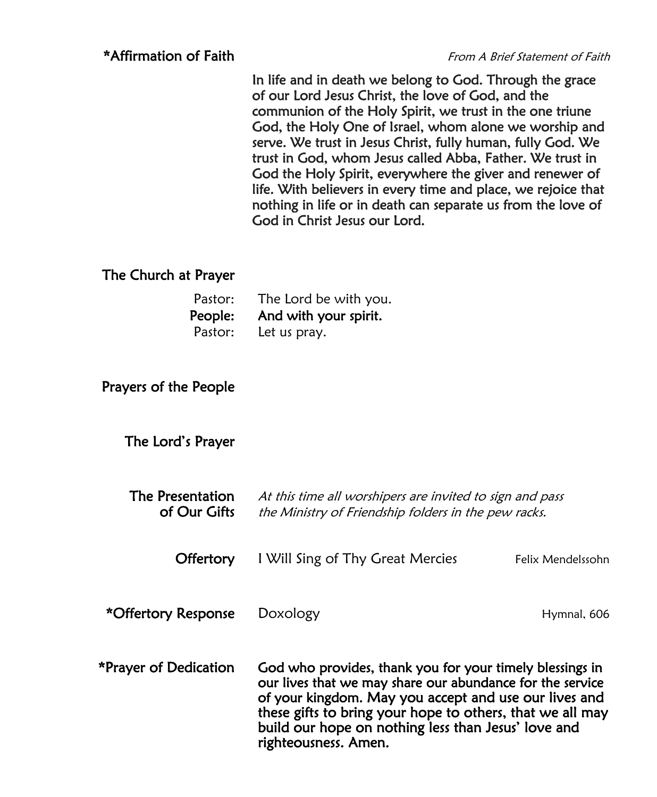In life and in death we belong to God. Through the grace of our Lord Jesus Christ, the love of God, and the communion of the Holy Spirit, we trust in the one triune God, the Holy One of Israel, whom alone we worship and serve. We trust in Jesus Christ, fully human, fully God. We trust in God, whom Jesus called Abba, Father. We trust in God the Holy Spirit, everywhere the giver and renewer of life. With believers in every time and place, we rejoice that nothing in life or in death can separate us from the love of God in Christ Jesus our Lord.

#### The Church at Prayer

| Pastor: | The Lord be with you.         |
|---------|-------------------------------|
|         | People: And with your spirit. |
| Pastor: | Let us pray.                  |

#### Prayers of the People

The Lord's Prayer

| The Presentation<br>of Our Gifts | At this time all worshipers are invited to sign and pass<br>the Ministry of Friendship folders in the pew racks.                                                                                                                                                                                                           |                   |  |
|----------------------------------|----------------------------------------------------------------------------------------------------------------------------------------------------------------------------------------------------------------------------------------------------------------------------------------------------------------------------|-------------------|--|
| Offertory                        | I Will Sing of Thy Great Mercies                                                                                                                                                                                                                                                                                           | Felix Mendelssohn |  |
| *Offertory Response              | Doxology                                                                                                                                                                                                                                                                                                                   | Hymnal, 606       |  |
| *Prayer of Dedication            | God who provides, thank you for your timely blessings in<br>our lives that we may share our abundance for the service<br>of your kingdom. May you accept and use our lives and<br>these gifts to bring your hope to others, that we all may<br>build our hope on nothing less than Jesus' love and<br>righteousness. Amen. |                   |  |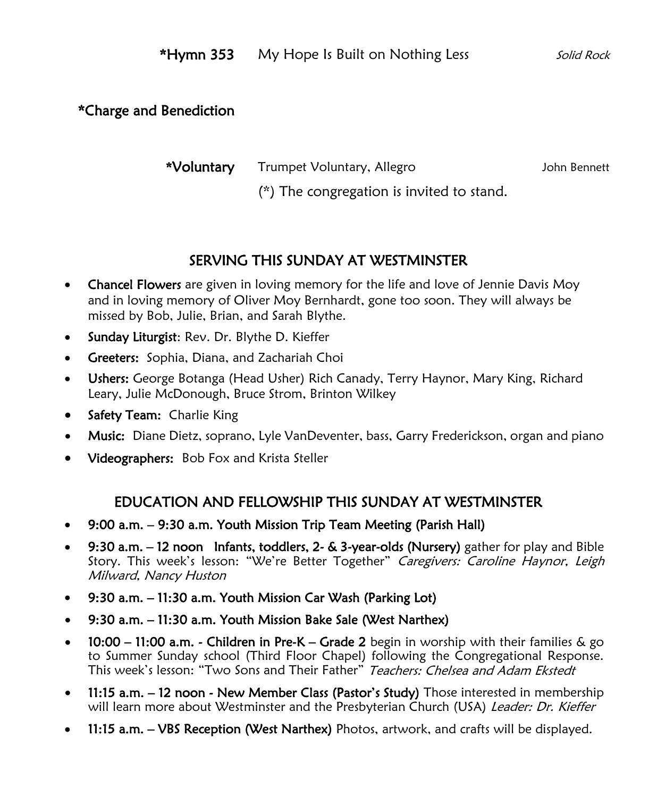### \*Charge and Benediction

\*Voluntary Trumpet Voluntary, Allegro Marting Schn Bennett

(\*) The congregation is invited to stand.

# SERVING THIS SUNDAY AT WESTMINSTER

- Chancel Flowers are given in loving memory for the life and love of Jennie Davis Moy and in loving memory of Oliver Moy Bernhardt, gone too soon. They will always be missed by Bob, Julie, Brian, and Sarah Blythe.
- Sunday Liturgist: Rev. Dr. Blythe D. Kieffer
- Greeters: Sophia, Diana, and Zachariah Choi
- Ushers: George Botanga (Head Usher) Rich Canady, Terry Haynor, Mary King, Richard Leary, Julie McDonough, Bruce Strom, Brinton Wilkey
- Safety Team: Charlie King
- Music: Diane Dietz, soprano, Lyle VanDeventer, bass, Garry Frederickson, organ and piano
- Videographers: Bob Fox and Krista Steller

### EDUCATION AND FELLOWSHIP THIS SUNDAY AT WESTMINSTER

- 9:00 a.m. 9:30 a.m. Youth Mission Trip Team Meeting (Parish Hall)
- 9:30 a.m. 12 noon Infants, toddlers, 2- & 3-year-olds (Nursery) gather for play and Bible Story. This week's lesson: "We're Better Together" Caregivers: Caroline Haynor, Leigh Milward, Nancy Huston
- 9:30 a.m. 11:30 a.m. Youth Mission Car Wash (Parking Lot)
- 9:30 a.m. 11:30 a.m. Youth Mission Bake Sale (West Narthex)
- 10:00 11:00 a.m. Children in Pre-K Grade 2 begin in worship with their families & go to Summer Sunday school (Third Floor Chapel) following the Congregational Response. This week's lesson: "Two Sons and Their Father" Teachers: Chelsea and Adam Ekstedt
- 11:15 a.m. 12 noon New Member Class (Pastor's Study) Those interested in membership will learn more about Westminster and the Presbyterian Church (USA) Leader: Dr. Kieffer
- 11:15 a.m. VBS Reception (West Narthex) Photos, artwork, and crafts will be displayed.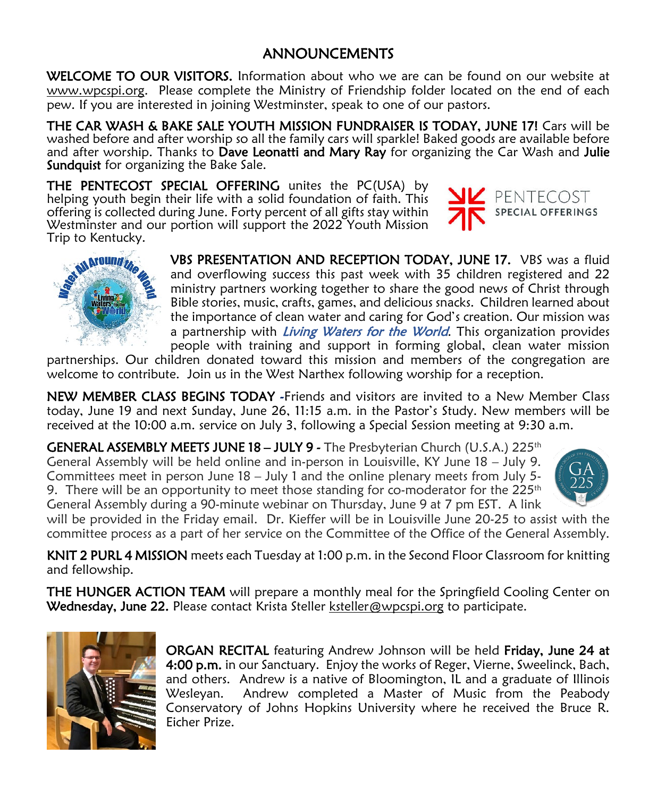# ANNOUNCEMENTS

WELCOME TO OUR VISITORS. Information about who we are can be found on our website at [www.wpcspi.org.](http://www.wpcspi.org/) Please complete the Ministry of Friendship folder located on the end of each pew. If you are interested in joining Westminster, speak to one of our pastors.

THE CAR WASH & BAKE SALE YOUTH MISSION FUNDRAISER IS TODAY, JUNE 17! Cars will be washed before and after worship so all the family cars will sparkle! Baked goods are available before and after worship. Thanks to Dave Leonatti and Mary Ray for organizing the Car Wash and Julie Sundquist for organizing the Bake Sale.

THE PENTECOST SPECIAL OFFERING unites the PC(USA) by helping youth begin their life with a solid foundation of faith. This offering is collected during June. Forty percent of all gifts stay within Westminster and our portion will support the 2022 Youth Mission Trip to Kentucky.





VBS PRESENTATION AND RECEPTION TODAY, JUNE 17. VBS was a fluid and overflowing success this past week with 35 children registered and 22 ministry partners working together to share the good news of Christ through Bible stories, music, crafts, games, and delicious snacks. Children learned about the importance of clean water and caring for God's creation. Our mission was a partnership with *Living Waters for the World*. This organization provides people with training and support in forming global, clean water mission

partnerships. Our children donated toward this mission and members of the congregation are welcome to contribute. Join us in the West Narthex following worship for a reception.

NEW MEMBER CLASS BEGINS TODAY -Friends and visitors are invited to a New Member Class today, June 19 and next Sunday, June 26, 11:15 a.m. in the Pastor's Study. New members will be received at the 10:00 a.m. service on July 3, following a Special Session meeting at 9:30 a.m.

GENERAL ASSEMBLY MEETS JUNE 18 - JULY 9 - The Presbyterian Church (U.S.A.) 225<sup>th</sup> General Assembly will be held online and in-person in Louisville, KY June 18 – July 9. Committees meet in person June 18 – July 1 and the online plenary meets from July 5- 9. There will be an opportunity to meet those standing for co-moderator for the  $225<sup>th</sup>$ General Assembly during a 90-minute webinar on Thursday, June 9 at 7 pm EST. A link



will be provided in the Friday email. Dr. Kieffer will be in Louisville June 20-25 to assist with the committee process as a part of her service on the Committee of the Office of the General Assembly.

KNIT 2 PURL 4 MISSION meets each Tuesday at 1:00 p.m. in the Second Floor Classroom for knitting and fellowship.

**THE HUNGER ACTION TEAM** will prepare a monthly meal for the Springfield Cooling Center on Wednesday, June 22. Please contact Krista Steller [ksteller@wpcspi.org](mailto:ksteller@wpcspi.org) to participate.



ORGAN RECITAL featuring Andrew Johnson will be held Friday, June 24 at 4:00 p.m. in our Sanctuary. Enjoy the works of Reger, Vierne, Sweelinck, Bach, and others. Andrew is a native of Bloomington, IL and a graduate of Illinois Wesleyan. Andrew completed a Master of Music from the Peabody Conservatory of Johns Hopkins University where he received the Bruce R. Eicher Prize.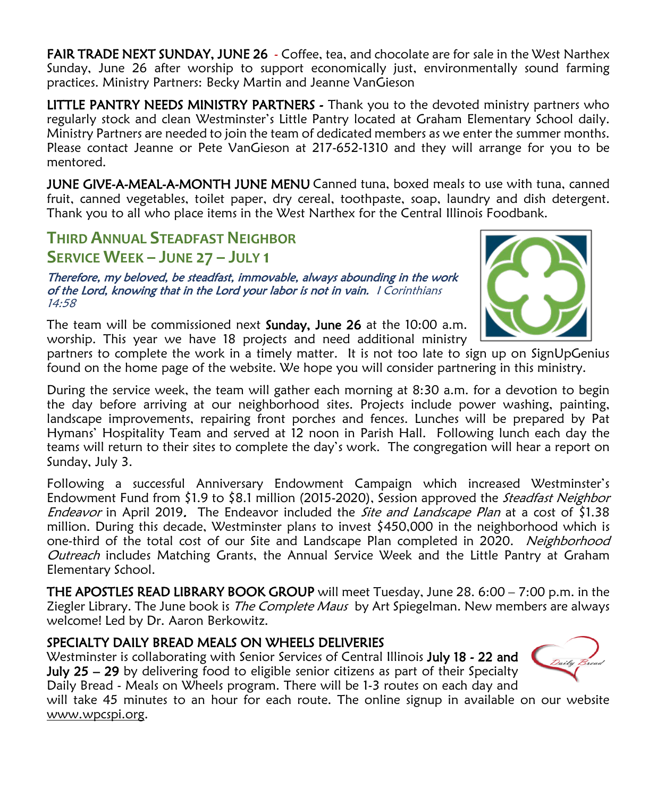FAIR TRADE NEXT SUNDAY, JUNE 26 - Coffee, tea, and chocolate are for sale in the West Narthex Sunday, June 26 after worship to support economically just, environmentally sound farming practices. Ministry Partners: Becky Martin and Jeanne VanGieson

LITTLE PANTRY NEEDS MINISTRY PARTNERS - Thank you to the devoted ministry partners who regularly stock and clean Westminster's Little Pantry located at Graham Elementary School daily. Ministry Partners are needed to join the team of dedicated members as we enter the summer months. Please contact Jeanne or Pete VanGieson at 217-652-1310 and they will arrange for you to be mentored.

**JUNE GIVE-A-MEAL-A-MONTH JUNE MENU** Canned tuna, boxed meals to use with tuna, canned fruit, canned vegetables, toilet paper, dry cereal, toothpaste, soap, laundry and dish detergent. Thank you to all who place items in the West Narthex for the Central Illinois Foodbank.

## **THIRD ANNUAL STEADFAST NEIGHBOR SERVICE WEEK – JUNE 27 – JULY 1**

Therefore, my beloved, be steadfast, immovable, always abounding in the work of the Lord, knowing that in the Lord your labor is not in vain. I Corinthians 14:58

The team will be commissioned next **Sunday, June 26** at the 10:00 a.m. worship. This year we have 18 projects and need additional ministry



partners to complete the work in a timely matter. It is not too late to sign up on SignUpGenius found on the home page of the website. We hope you will consider partnering in this ministry.

During the service week, the team will gather each morning at 8:30 a.m. for a devotion to begin the day before arriving at our neighborhood sites. Projects include power washing, painting, landscape improvements, repairing front porches and fences. Lunches will be prepared by Pat Hymans' Hospitality Team and served at 12 noon in Parish Hall. Following lunch each day the teams will return to their sites to complete the day's work. The congregation will hear a report on Sunday, July 3.

Following a successful Anniversary Endowment Campaign which increased Westminster's Endowment Fund from \$1.9 to \$8.1 million (2015-2020), Session approved the *Steadfast Neighbor* Endeavor in April 2019. The Endeavor included the *Site and Landscape Plan* at a cost of \$1.38 million. During this decade, Westminster plans to invest \$450,000 in the neighborhood which is one-third of the total cost of our Site and Landscape Plan completed in 2020. Neighborhood Outreach includes Matching Grants, the Annual Service Week and the Little Pantry at Graham Elementary School.

**THE APOSTLES READ LIBRARY BOOK GROUP** will meet Tuesday, June 28. 6:00 – 7:00 p.m. in the Ziegler Library. The June book is *The Complete Maus* by Art Spiegelman. New members are always welcome! Led by Dr. Aaron Berkowitz.

#### SPECIALTY DAILY BREAD MEALS ON WHEELS DELIVERIES

Westminster is collaborating with Senior Services of Central Illinois July 18 - 22 and **July 25 – 29** by delivering food to eligible senior citizens as part of their Specialty Daily Bread - Meals on Wheels program. There will be 1-3 routes on each day and



will take 45 minutes to an hour for each route. The online signup in available on our website [www.wpcspi.org.](http://www.wpcspi.org/)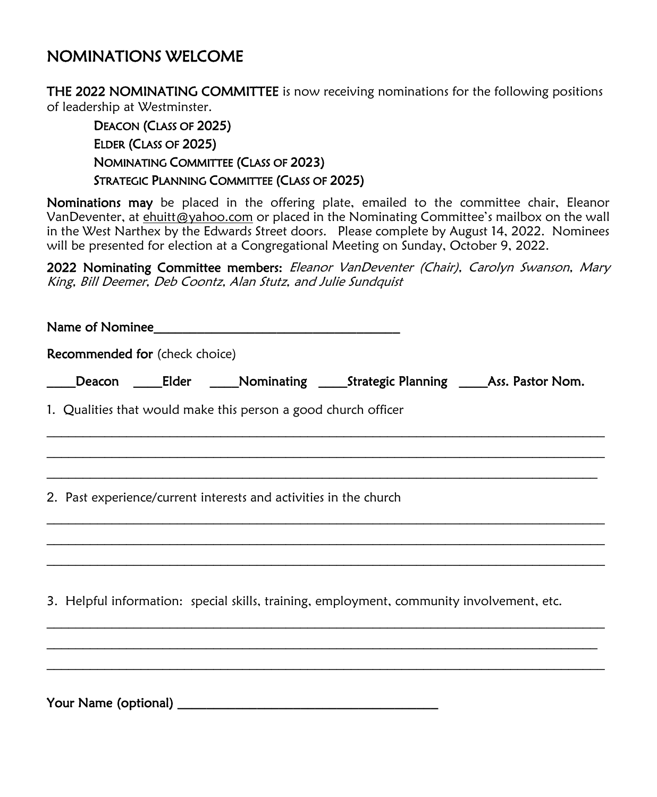# NOMINATIONS WELCOME

THE 2022 NOMINATING COMMITTEE is now receiving nominations for the following positions of leadership at Westminster.

### DEACON (CLASS OF 2025) ELDER (CLASS OF 2025) NOMINATING COMMITTEE (CLASS OF 2023) STRATEGIC PLANNING COMMITTEE (CLASS OF 2025)

Nominations may be placed in the offering plate, emailed to the committee chair, Eleanor VanDeventer, at ehuitt@yahoo.com or placed in the Nominating Committee's mailbox on the wall in the West Narthex by the Edwards Street doors. Please complete by August 14, 2022. Nominees will be presented for election at a Congregational Meeting on Sunday, October 9, 2022.

2022 Nominating Committee members: Eleanor VanDeventer (Chair), Carolyn Swanson, Mary King, Bill Deemer, Deb Coontz, Alan Stutz, and Julie Sundquist

|  | Recommended for (check choice) |                                                                                           |  |  |
|--|--------------------------------|-------------------------------------------------------------------------------------------|--|--|
|  |                                | _Deacon ______Elder ______Nominating ______Strategic Planning ______Ass. Pastor Nom.      |  |  |
|  |                                | 1. Qualities that would make this person a good church officer                            |  |  |
|  |                                |                                                                                           |  |  |
|  |                                | 2. Past experience/current interests and activities in the church                         |  |  |
|  |                                |                                                                                           |  |  |
|  |                                | 3. Helpful information: special skills, training, employment, community involvement, etc. |  |  |
|  |                                |                                                                                           |  |  |

Your Name (optional) **\_\_\_\_\_\_\_\_\_\_\_\_\_\_\_\_\_\_\_\_\_\_\_\_\_\_\_\_\_\_\_\_\_\_\_\_**